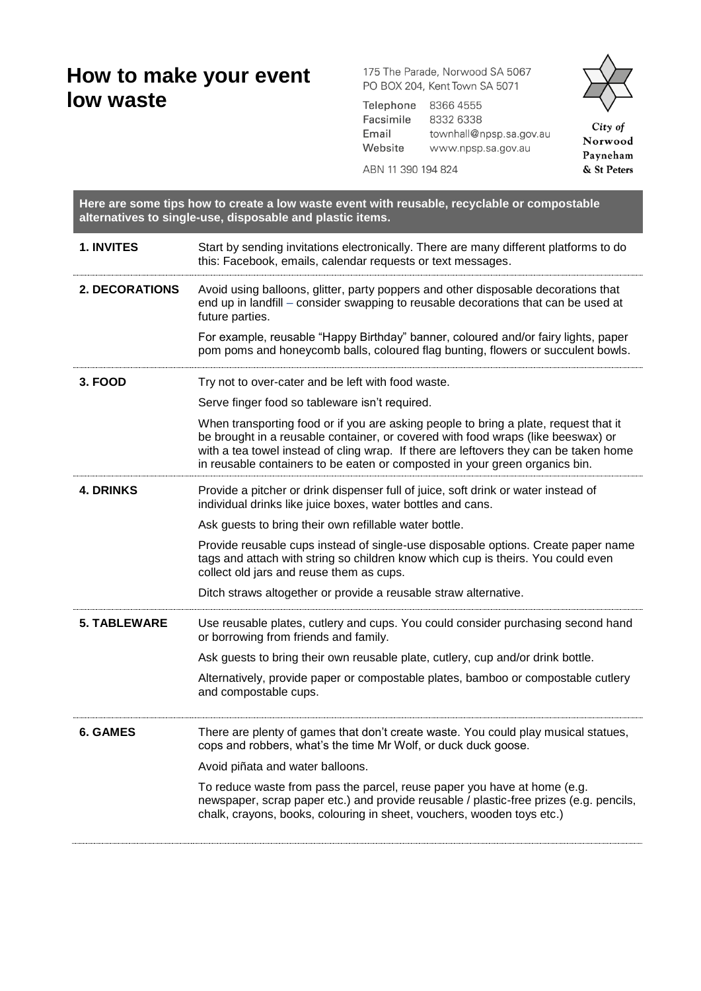## **How to make your event low waste**

175 The Parade, Norwood SA 5067 PO BOX 204, Kent Town SA 5071

Telephone 8366 4555 Facsimile 8332 6338 Email townhall@npsp.sa.gov.au Website www.npsp.sa.gov.au

ABN 11 390 194 824



| Here are some tips how to create a low waste event with reusable, recyclable or compostable<br>alternatives to single-use, disposable and plastic items. |                                                                                                                                                                                                                                                                                                                                                  |
|----------------------------------------------------------------------------------------------------------------------------------------------------------|--------------------------------------------------------------------------------------------------------------------------------------------------------------------------------------------------------------------------------------------------------------------------------------------------------------------------------------------------|
| 1. INVITES                                                                                                                                               | Start by sending invitations electronically. There are many different platforms to do<br>this: Facebook, emails, calendar requests or text messages.                                                                                                                                                                                             |
| 2. DECORATIONS                                                                                                                                           | Avoid using balloons, glitter, party poppers and other disposable decorations that<br>end up in landfill - consider swapping to reusable decorations that can be used at<br>future parties.                                                                                                                                                      |
|                                                                                                                                                          | For example, reusable "Happy Birthday" banner, coloured and/or fairy lights, paper<br>pom poms and honeycomb balls, coloured flag bunting, flowers or succulent bowls.                                                                                                                                                                           |
| 3. FOOD                                                                                                                                                  | Try not to over-cater and be left with food waste.                                                                                                                                                                                                                                                                                               |
|                                                                                                                                                          | Serve finger food so tableware isn't required.                                                                                                                                                                                                                                                                                                   |
|                                                                                                                                                          | When transporting food or if you are asking people to bring a plate, request that it<br>be brought in a reusable container, or covered with food wraps (like beeswax) or<br>with a tea towel instead of cling wrap. If there are leftovers they can be taken home<br>in reusable containers to be eaten or composted in your green organics bin. |
| <b>4. DRINKS</b>                                                                                                                                         | Provide a pitcher or drink dispenser full of juice, soft drink or water instead of<br>individual drinks like juice boxes, water bottles and cans.                                                                                                                                                                                                |
|                                                                                                                                                          | Ask guests to bring their own refillable water bottle.                                                                                                                                                                                                                                                                                           |
|                                                                                                                                                          | Provide reusable cups instead of single-use disposable options. Create paper name<br>tags and attach with string so children know which cup is theirs. You could even<br>collect old jars and reuse them as cups.                                                                                                                                |
|                                                                                                                                                          | Ditch straws altogether or provide a reusable straw alternative.                                                                                                                                                                                                                                                                                 |
| <b>5. TABLEWARE</b>                                                                                                                                      | Use reusable plates, cutlery and cups. You could consider purchasing second hand<br>or borrowing from friends and family.                                                                                                                                                                                                                        |
|                                                                                                                                                          | Ask guests to bring their own reusable plate, cutlery, cup and/or drink bottle.                                                                                                                                                                                                                                                                  |
|                                                                                                                                                          | Alternatively, provide paper or compostable plates, bamboo or compostable cutlery<br>and compostable cups.                                                                                                                                                                                                                                       |
| <b>6. GAMES</b>                                                                                                                                          | There are plenty of games that don't create waste. You could play musical statues,<br>cops and robbers, what's the time Mr Wolf, or duck duck goose.                                                                                                                                                                                             |
|                                                                                                                                                          | Avoid piñata and water balloons.                                                                                                                                                                                                                                                                                                                 |
|                                                                                                                                                          | To reduce waste from pass the parcel, reuse paper you have at home (e.g.<br>newspaper, scrap paper etc.) and provide reusable / plastic-free prizes (e.g. pencils,<br>chalk, crayons, books, colouring in sheet, vouchers, wooden toys etc.)                                                                                                     |